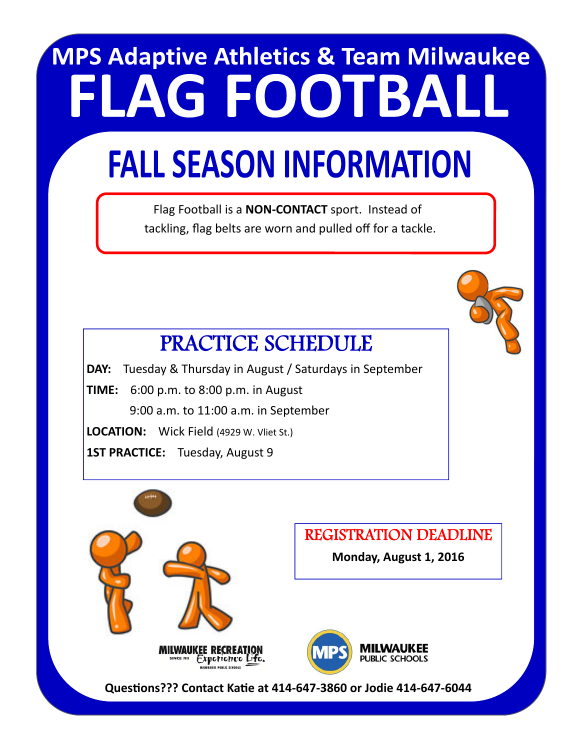# **MPS Adaptive Athletics & Team Milwaukee FLAG FOOTBALL**

## **FALL SEASON INFORMATION**

 Flag Football is a **NON‐CONTACT** sport. Instead of tackling, flag belts are worn and pulled off for a tackle.



### PRACTICE SCHEDULE

**DAY:** Tuesday & Thursday in August / Saturdays in September **TIME:** 6:00 p.m. to 8:00 p.m. in August 9:00 a.m. to 11:00 a.m. in September **LOCATION:** Wick Field (4929 W. Vliet St.) **1ST PRACTICE:** Tuesday, August 9



**QuesƟons??? Contact KaƟe at 414‐647‐3860 or Jodie 414‐647‐6044**